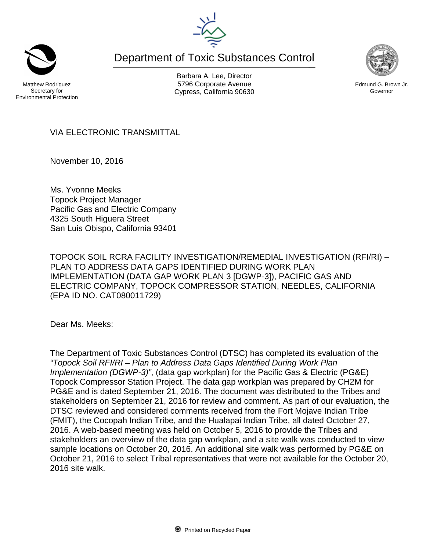Department of Toxic Substances Control



Matthew Rodriquez Secretary for

Environmental Protection

Barbara A. Lee, Director 5796 Corporate Avenue Cypress, California 90630



Edmund G. Brown Jr. Governor

VIA ELECTRONIC TRANSMITTAL

November 10, 2016

Ms. Yvonne Meeks Topock Project Manager Pacific Gas and Electric Company 4325 South Higuera Street San Luis Obispo, California 93401

TOPOCK SOIL RCRA FACILITY INVESTIGATION/REMEDIAL INVESTIGATION (RFI/RI) – PLAN TO ADDRESS DATA GAPS IDENTIFIED DURING WORK PLAN IMPLEMENTATION (DATA GAP WORK PLAN 3 [DGWP-3]), PACIFIC GAS AND ELECTRIC COMPANY, TOPOCK COMPRESSOR STATION, NEEDLES, CALIFORNIA (EPA ID NO. CAT080011729)

Dear Ms. Meeks:

The Department of Toxic Substances Control (DTSC) has completed its evaluation of the *"Topock Soil RFI/RI – Plan to Address Data Gaps Identified During Work Plan Implementation (DGWP-3)"*, (data gap workplan) for the Pacific Gas & Electric (PG&E) Topock Compressor Station Project. The data gap workplan was prepared by CH2M for PG&E and is dated September 21, 2016. The document was distributed to the Tribes and stakeholders on September 21, 2016 for review and comment. As part of our evaluation, the DTSC reviewed and considered comments received from the Fort Mojave Indian Tribe (FMIT), the Cocopah Indian Tribe, and the Hualapai Indian Tribe, all dated October 27, 2016. A web-based meeting was held on October 5, 2016 to provide the Tribes and stakeholders an overview of the data gap workplan, and a site walk was conducted to view sample locations on October 20, 2016. An additional site walk was performed by PG&E on October 21, 2016 to select Tribal representatives that were not available for the October 20, 2016 site walk.

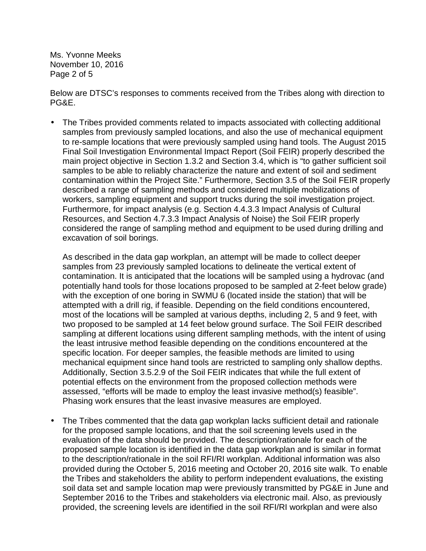Ms. Yvonne Meeks November 10, 2016 Page 2 of 5

Below are DTSC's responses to comments received from the Tribes along with direction to PG&E.

The Tribes provided comments related to impacts associated with collecting additional samples from previously sampled locations, and also the use of mechanical equipment to re-sample locations that were previously sampled using hand tools. The August 2015 Final Soil Investigation Environmental Impact Report (Soil FEIR) properly described the main project objective in Section 1.3.2 and Section 3.4, which is "to gather sufficient soil samples to be able to reliably characterize the nature and extent of soil and sediment contamination within the Project Site." Furthermore, Section 3.5 of the Soil FEIR properly described a range of sampling methods and considered multiple mobilizations of workers, sampling equipment and support trucks during the soil investigation project. Furthermore, for impact analysis (e.g. Section 4.4.3.3 Impact Analysis of Cultural Resources, and Section 4.7.3.3 Impact Analysis of Noise) the Soil FEIR properly considered the range of sampling method and equipment to be used during drilling and excavation of soil borings.

As described in the data gap workplan, an attempt will be made to collect deeper samples from 23 previously sampled locations to delineate the vertical extent of contamination. It is anticipated that the locations will be sampled using a hydrovac (and potentially hand tools for those locations proposed to be sampled at 2-feet below grade) with the exception of one boring in SWMU 6 (located inside the station) that will be attempted with a drill rig, if feasible. Depending on the field conditions encountered, most of the locations will be sampled at various depths, including 2, 5 and 9 feet, with two proposed to be sampled at 14 feet below ground surface. The Soil FEIR described sampling at different locations using different sampling methods, with the intent of using the least intrusive method feasible depending on the conditions encountered at the specific location. For deeper samples, the feasible methods are limited to using mechanical equipment since hand tools are restricted to sampling only shallow depths. Additionally, Section 3.5.2.9 of the Soil FEIR indicates that while the full extent of potential effects on the environment from the proposed collection methods were assessed, "efforts will be made to employ the least invasive method(s) feasible". Phasing work ensures that the least invasive measures are employed.

The Tribes commented that the data gap workplan lacks sufficient detail and rationale for the proposed sample locations, and that the soil screening levels used in the evaluation of the data should be provided. The description/rationale for each of the proposed sample location is identified in the data gap workplan and is similar in format to the description/rationale in the soil RFI/RI workplan. Additional information was also provided during the October 5, 2016 meeting and October 20, 2016 site walk. To enable the Tribes and stakeholders the ability to perform independent evaluations, the existing soil data set and sample location map were previously transmitted by PG&E in June and September 2016 to the Tribes and stakeholders via electronic mail. Also, as previously provided, the screening levels are identified in the soil RFI/RI workplan and were also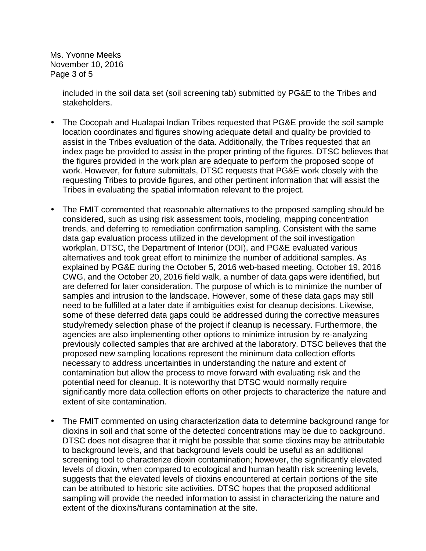Ms. Yvonne Meeks November 10, 2016 Page 3 of 5

> included in the soil data set (soil screening tab) submitted by PG&E to the Tribes and stakeholders.

- The Cocopah and Hualapai Indian Tribes requested that PG&E provide the soil sample location coordinates and figures showing adequate detail and quality be provided to assist in the Tribes evaluation of the data. Additionally, the Tribes requested that an index page be provided to assist in the proper printing of the figures. DTSC believes that the figures provided in the work plan are adequate to perform the proposed scope of work. However, for future submittals, DTSC requests that PG&E work closely with the requesting Tribes to provide figures, and other pertinent information that will assist the Tribes in evaluating the spatial information relevant to the project.
- The FMIT commented that reasonable alternatives to the proposed sampling should be considered, such as using risk assessment tools, modeling, mapping concentration trends, and deferring to remediation confirmation sampling. Consistent with the same data gap evaluation process utilized in the development of the soil investigation workplan, DTSC, the Department of Interior (DOI), and PG&E evaluated various alternatives and took great effort to minimize the number of additional samples. As explained by PG&E during the October 5, 2016 web-based meeting, October 19, 2016 CWG, and the October 20, 2016 field walk, a number of data gaps were identified, but are deferred for later consideration. The purpose of which is to minimize the number of samples and intrusion to the landscape. However, some of these data gaps may still need to be fulfilled at a later date if ambiguities exist for cleanup decisions. Likewise, some of these deferred data gaps could be addressed during the corrective measures study/remedy selection phase of the project if cleanup is necessary. Furthermore, the agencies are also implementing other options to minimize intrusion by re-analyzing previously collected samples that are archived at the laboratory. DTSC believes that the proposed new sampling locations represent the minimum data collection efforts necessary to address uncertainties in understanding the nature and extent of contamination but allow the process to move forward with evaluating risk and the potential need for cleanup. It is noteworthy that DTSC would normally require significantly more data collection efforts on other projects to characterize the nature and extent of site contamination.
- The FMIT commented on using characterization data to determine background range for dioxins in soil and that some of the detected concentrations may be due to background. DTSC does not disagree that it might be possible that some dioxins may be attributable to background levels, and that background levels could be useful as an additional screening tool to characterize dioxin contamination; however, the significantly elevated levels of dioxin, when compared to ecological and human health risk screening levels, suggests that the elevated levels of dioxins encountered at certain portions of the site can be attributed to historic site activities. DTSC hopes that the proposed additional sampling will provide the needed information to assist in characterizing the nature and extent of the dioxins/furans contamination at the site.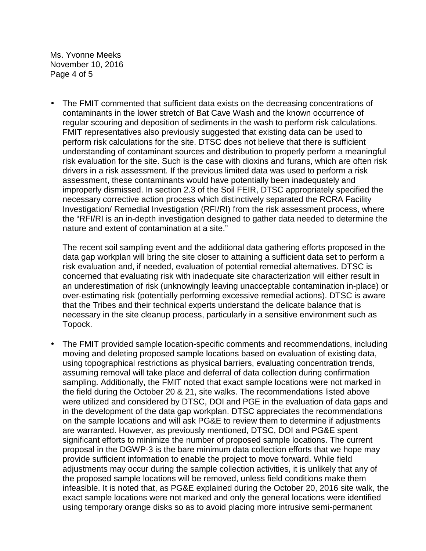Ms. Yvonne Meeks November 10, 2016 Page 4 of 5

The FMIT commented that sufficient data exists on the decreasing concentrations of contaminants in the lower stretch of Bat Cave Wash and the known occurrence of regular scouring and deposition of sediments in the wash to perform risk calculations. FMIT representatives also previously suggested that existing data can be used to perform risk calculations for the site. DTSC does not believe that there is sufficient understanding of contaminant sources and distribution to properly perform a meaningful risk evaluation for the site. Such is the case with dioxins and furans, which are often risk drivers in a risk assessment. If the previous limited data was used to perform a risk assessment, these contaminants would have potentially been inadequately and improperly dismissed. In section 2.3 of the Soil FEIR, DTSC appropriately specified the necessary corrective action process which distinctively separated the RCRA Facility Investigation/ Remedial Investigation (RFI/RI) from the risk assessment process, where the "RFI/RI is an in-depth investigation designed to gather data needed to determine the nature and extent of contamination at a site."

The recent soil sampling event and the additional data gathering efforts proposed in the data gap workplan will bring the site closer to attaining a sufficient data set to perform a risk evaluation and, if needed, evaluation of potential remedial alternatives. DTSC is concerned that evaluating risk with inadequate site characterization will either result in an underestimation of risk (unknowingly leaving unacceptable contamination in-place) or over-estimating risk (potentially performing excessive remedial actions). DTSC is aware that the Tribes and their technical experts understand the delicate balance that is necessary in the site cleanup process, particularly in a sensitive environment such as Topock.

The FMIT provided sample location-specific comments and recommendations, including moving and deleting proposed sample locations based on evaluation of existing data, using topographical restrictions as physical barriers, evaluating concentration trends, assuming removal will take place and deferral of data collection during confirmation sampling. Additionally, the FMIT noted that exact sample locations were not marked in the field during the October 20 & 21, site walks. The recommendations listed above were utilized and considered by DTSC, DOI and PGE in the evaluation of data gaps and in the development of the data gap workplan. DTSC appreciates the recommendations on the sample locations and will ask PG&E to review them to determine if adjustments are warranted. However, as previously mentioned, DTSC, DOI and PG&E spent significant efforts to minimize the number of proposed sample locations. The current proposal in the DGWP-3 is the bare minimum data collection efforts that we hope may provide sufficient information to enable the project to move forward. While field adjustments may occur during the sample collection activities, it is unlikely that any of the proposed sample locations will be removed, unless field conditions make them infeasible. It is noted that, as PG&E explained during the October 20, 2016 site walk, the exact sample locations were not marked and only the general locations were identified using temporary orange disks so as to avoid placing more intrusive semi-permanent